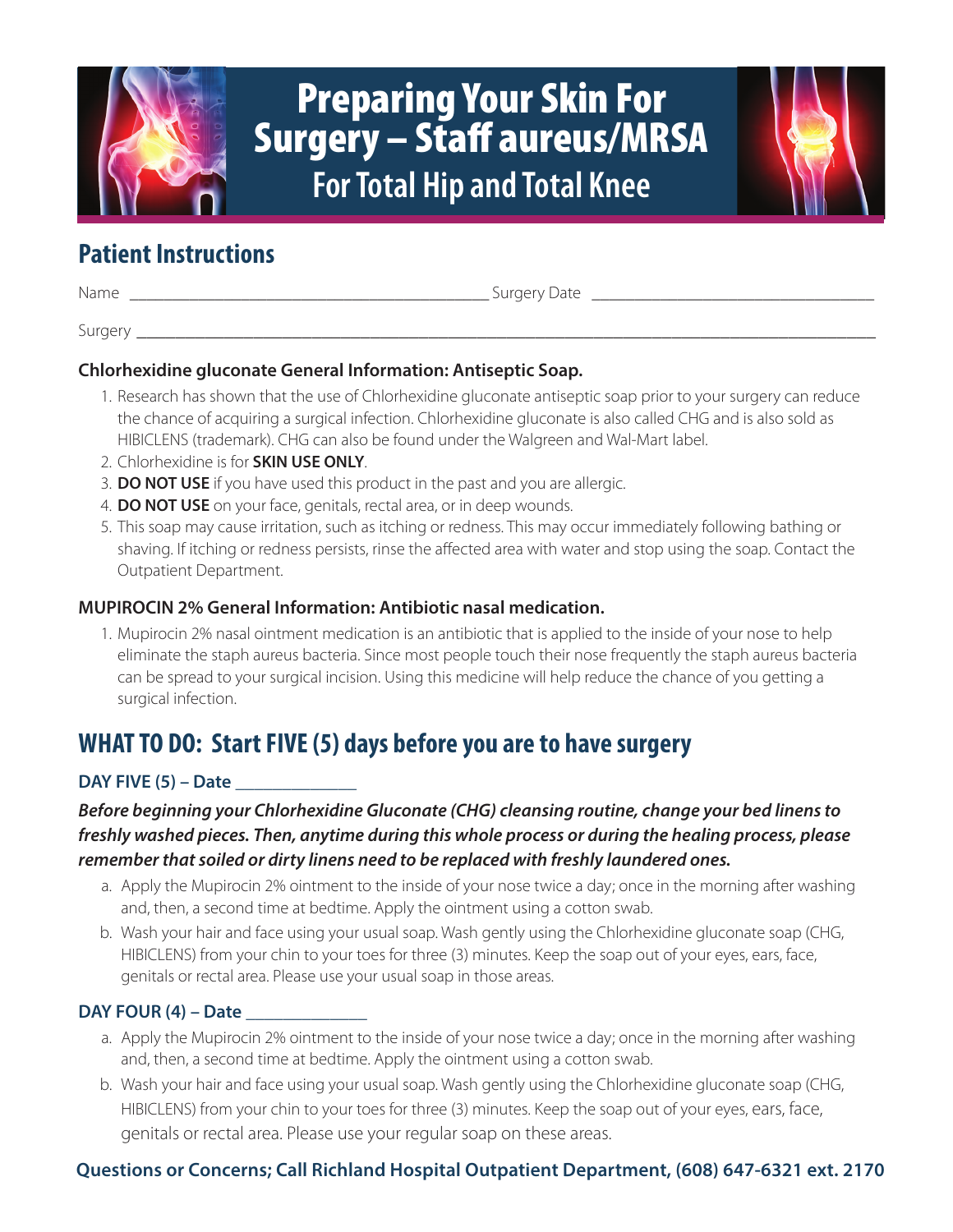

# Preparing Your Skin For Surgery – Staff aureus/MRSA **For Total Hip and Total Knee**

# **Patient Instructions**

Name \_\_\_\_\_\_\_\_\_\_\_\_\_\_\_\_\_\_\_\_\_\_\_\_\_\_\_\_\_\_\_\_\_\_\_\_\_\_\_\_\_\_ Surgery Date \_\_\_\_\_\_\_\_\_\_\_\_\_\_\_\_\_\_\_\_\_\_\_\_\_\_\_\_\_\_\_\_\_

Surgery \_\_\_\_\_\_\_\_\_\_\_\_\_\_\_\_\_\_\_\_\_\_\_\_\_\_\_\_\_\_\_\_\_\_\_\_\_\_\_\_\_\_\_\_\_\_\_\_\_\_\_\_\_\_\_\_\_\_\_\_\_\_\_\_\_\_\_\_\_\_\_\_\_\_\_\_

## **Chlorhexidine gluconate General Information: Antiseptic Soap.**

- 1. Research has shown that the use of Chlorhexidine gluconate antiseptic soap prior to your surgery can reduce the chance of acquiring a surgical infection. Chlorhexidine gluconate is also called CHG and is also sold as HIBICLENS (trademark). CHG can also be found under the Walgreen and Wal-Mart label.
- 2. Chlorhexidine is for **SKIN USE ONLY**.
- 3. **DO NOT USE** if you have used this product in the past and you are allergic.
- 4. **DO NOT USE** on your face, genitals, rectal area, or in deep wounds.
- 5. This soap may cause irritation, such as itching or redness. This may occur immediately following bathing or shaving. If itching or redness persists, rinse the affected area with water and stop using the soap. Contact the Outpatient Department.

#### **MUPIROCIN 2% General Information: Antibiotic nasal medication.**

1. Mupirocin 2% nasal ointment medication is an antibiotic that is applied to the inside of your nose to help eliminate the staph aureus bacteria. Since most people touch their nose frequently the staph aureus bacteria can be spread to your surgical incision. Using this medicine will help reduce the chance of you getting a surgical infection.

# **WHAT TO DO: Start FIVE (5) days before you are to have surgery**

## **DAY FIVE (5) – Date** \_\_\_\_\_\_\_\_\_\_\_\_\_

# *Before beginning your Chlorhexidine Gluconate (CHG) cleansing routine, change your bed linens to freshly washed pieces. Then, anytime during this whole process or during the healing process, please remember that soiled or dirty linens need to be replaced with freshly laundered ones.*

- a. Apply the Mupirocin 2% ointment to the inside of your nose twice a day; once in the morning after washing and, then, a second time at bedtime. Apply the ointment using a cotton swab.
- b. Wash your hair and face using your usual soap. Wash gently using the Chlorhexidine gluconate soap (CHG, HIBICLENS) from your chin to your toes for three (3) minutes. Keep the soap out of your eyes, ears, face, genitals or rectal area. Please use your usual soap in those areas.

## **DAY FOUR (4) – Date** \_\_\_\_\_\_\_\_\_\_\_\_\_

- a. Apply the Mupirocin 2% ointment to the inside of your nose twice a day; once in the morning after washing and, then, a second time at bedtime. Apply the ointment using a cotton swab.
- b. Wash your hair and face using your usual soap. Wash gently using the Chlorhexidine gluconate soap (CHG, HIBICLENS) from your chin to your toes for three (3) minutes. Keep the soap out of your eyes, ears, face, genitals or rectal area. Please use your regular soap on these areas.

# **Questions or Concerns; Call Richland Hospital Outpatient Department, (608) 647-6321 ext. 2170**